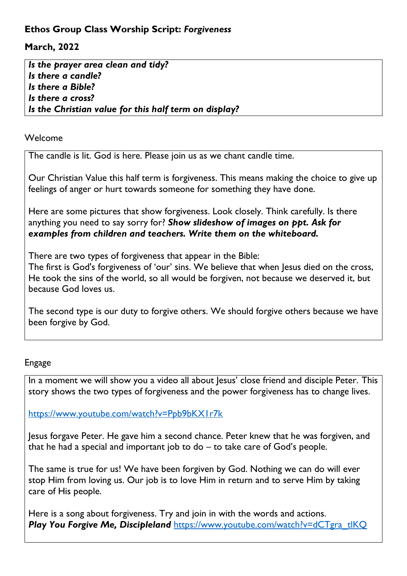## **Ethos Group Class Worship Script:** *Forgiveness*

## **March, 2022**

*Is the prayer area clean and tidy? Is there a candle? Is there a Bible? Is there a cross? Is the Christian value for this half term on display?*

## Welcome

The candle is lit. God is here. Please join us as we chant candle time.

Our Christian Value this half term is forgiveness. This means making the choice to give up feelings of anger or hurt towards someone for something they have done.

Here are some pictures that show forgiveness. Look closely. Think carefully. Is there anything you need to say sorry for? *Show slideshow of images on ppt. Ask for examples from children and teachers. Write them on the whiteboard.* 

There are two types of forgiveness that appear in the Bible:

The first is God's forgiveness of 'our' sins. We believe that when Jesus died on the cross, He took the sins of the world, so all would be forgiven, not because we deserved it, but because God loves us.

The second type is our duty to forgive others. We should forgive others because we have been forgive by God.

## Engage

In a moment we will show you a video all about Jesus' close friend and disciple Peter. This story shows the two types of forgiveness and the power forgiveness has to change lives.

<https://www.youtube.com/watch?v=Ppb9bKX1r7k>

Jesus forgave Peter. He gave him a second chance. Peter knew that he was forgiven, and that he had a special and important job to do – to take care of God's people.

The same is true for us! We have been forgiven by God. Nothing we can do will ever stop Him from loving us. Our job is to love Him in return and to serve Him by taking care of His people.

Here is a song about forgiveness. Try and join in with the words and actions. Play You Forgive Me, Discipleland [https://www.youtube.com/watch?v=dCTgra\\_tlKQ](https://www.youtube.com/watch?v=dCTgra_tlKQ)